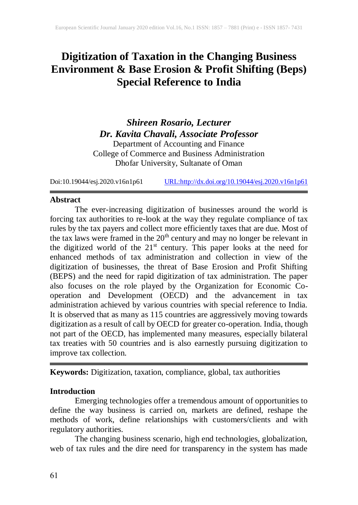# **Digitization of Taxation in the Changing Business Environment & Base Erosion & Profit Shifting (Beps) Special Reference to India**

*Shireen Rosario, Lecturer Dr. Kavita Chavali, Associate Professor* Department of Accounting and Finance College of Commerce and Business Administration Dhofar University, Sultanate of Oman

Doi:10.19044/esj.2020.v16n1p61 [URL:http://dx.doi.org/10.19044/esj.2020.v16n1p61](http://dx.doi.org/10.19044/esj.2020.v16n1p61)

#### **Abstract**

The ever-increasing digitization of businesses around the world is forcing tax authorities to re-look at the way they regulate compliance of tax rules by the tax payers and collect more efficiently taxes that are due. Most of the tax laws were framed in the  $20<sup>th</sup>$  century and may no longer be relevant in the digitized world of the  $21<sup>st</sup>$  century. This paper looks at the need for enhanced methods of tax administration and collection in view of the digitization of businesses, the threat of Base Erosion and Profit Shifting (BEPS) and the need for rapid digitization of tax administration. The paper also focuses on the role played by the Organization for Economic Cooperation and Development (OECD) and the advancement in tax administration achieved by various countries with special reference to India. It is observed that as many as 115 countries are aggressively moving towards digitization as a result of call by OECD for greater co-operation. India, though not part of the OECD, has implemented many measures, especially bilateral tax treaties with 50 countries and is also earnestly pursuing digitization to improve tax collection.

**Keywords:** Digitization, taxation, compliance, global, tax authorities

#### **Introduction**

Emerging technologies offer a tremendous amount of opportunities to define the way business is carried on, markets are defined, reshape the methods of work, define relationships with customers/clients and with regulatory authorities.

The changing business scenario, high end technologies, globalization, web of tax rules and the dire need for transparency in the system has made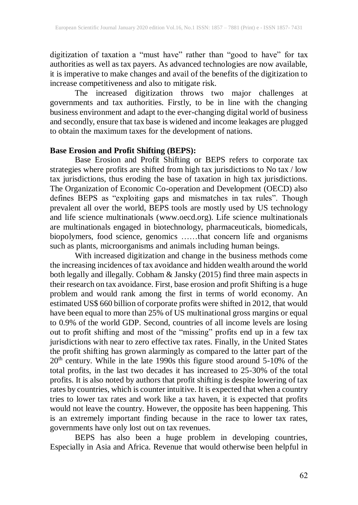digitization of taxation a "must have" rather than "good to have" for tax authorities as well as tax payers. As advanced technologies are now available, it is imperative to make changes and avail of the benefits of the digitization to increase competitiveness and also to mitigate risk.

The increased digitization throws two major challenges at governments and tax authorities. Firstly, to be in line with the changing business environment and adapt to the ever-changing digital world of business and secondly, ensure that tax base is widened and income leakages are plugged to obtain the maximum taxes for the development of nations.

### **Base Erosion and Profit Shifting (BEPS):**

Base Erosion and Profit Shifting or BEPS refers to corporate tax strategies where profits are shifted from high tax jurisdictions to No tax / low tax jurisdictions, thus eroding the base of taxation in high tax jurisdictions. The Organization of Economic Co-operation and Development (OECD) also defines BEPS as "exploiting gaps and mismatches in tax rules". Though prevalent all over the world, BEPS tools are mostly used by US technology and life science multinationals [\(www.oecd.org\)](http://www.oecd.org/). Life science multinationals are multinationals engaged in biotechnology, pharmaceuticals, biomedicals, biopolymers, food science, genomics ……that concern life and organisms such as plants, microorganisms and animals including human beings.

With increased digitization and change in the business methods come the increasing incidences of tax avoidance and hidden wealth around the world both legally and illegally. Cobham & Jansky (2015) find three main aspects in their research on tax avoidance. First, base erosion and profit Shifting is a huge problem and would rank among the first in terms of world economy. An estimated US\$ 660 billion of corporate profits were shifted in 2012, that would have been equal to more than  $25\%$  of US multinational gross margins or equal to 0.9% of the world GDP. Second, countries of all income levels are losing out to profit shifting and most of the "missing" profits end up in a few tax jurisdictions with near to zero effective tax rates. Finally, in the United States the profit shifting has grown alarmingly as compared to the latter part of the  $20<sup>th</sup>$  century. While in the late 1990s this figure stood around 5-10% of the total profits, in the last two decades it has increased to 25-30% of the total profits. It is also noted by authors that profit shifting is despite lowering of tax rates by countries, which is counter intuitive. It is expected that when a country tries to lower tax rates and work like a tax haven, it is expected that profits would not leave the country. However, the opposite has been happening. This is an extremely important finding because in the race to lower tax rates, governments have only lost out on tax revenues.

BEPS has also been a huge problem in developing countries, Especially in Asia and Africa. Revenue that would otherwise been helpful in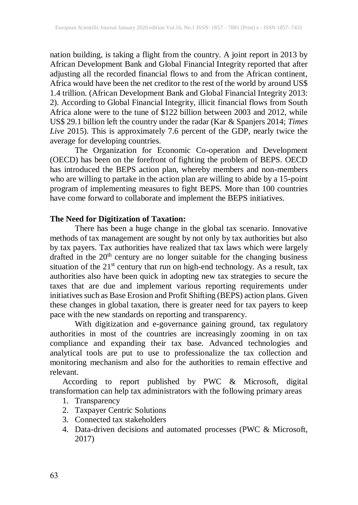nation building, is taking a flight from the country. A joint report in 2013 by African Development Bank and Global Financial Integrity reported that after adjusting all the recorded financial flows to and from the African continent, Africa would have been the net creditor to the rest of the world by around US\$ 1.4 trillion. (African Development Bank and Global Financial Integrity 2013: 2). According to Global Financial Integrity, illicit financial flows from South Africa alone were to the tune of \$122 billion between 2003 and 2012, while US\$ 29.1 billion left the country under the radar (Kar & Spanjers 2014; *Times Live* 2015). This is approximately 7.6 percent of the GDP, nearly twice the average for developing countries.

The Organization for Economic Co-operation and Development (OECD) has been on the forefront of fighting the problem of BEPS. OECD has introduced the BEPS action plan, whereby members and non-members who are willing to partake in the action plan are willing to abide by a 15-point program of implementing measures to fight BEPS. More than 100 countries have come forward to collaborate and implement the BEPS initiatives.

# **The Need for Digitization of Taxation:**

There has been a huge change in the global tax scenario. Innovative methods of tax management are sought by not only by tax authorities but also by tax payers. Tax authorities have realized that tax laws which were largely drafted in the 20<sup>th</sup> century are no longer suitable for the changing business situation of the  $21<sup>st</sup>$  century that run on high-end technology. As a result, tax authorities also have been quick in adopting new tax strategies to secure the taxes that are due and implement various reporting requirements under initiatives such as Base Erosion and Profit Shifting (BEPS) action plans. Given these changes in global taxation, there is greater need for tax payers to keep pace with the new standards on reporting and transparency.

With digitization and e-governance gaining ground, tax regulatory authorities in most of the countries are increasingly zooming in on tax compliance and expanding their tax base. Advanced technologies and analytical tools are put to use to professionalize the tax collection and monitoring mechanism and also for the authorities to remain effective and relevant.

According to report published by PWC & Microsoft, digital transformation can help tax administrators with the following primary areas

- 1. Transparency
- 2. Taxpayer Centric Solutions
- 3. Connected tax stakeholders
- 4. Data-driven decisions and automated processes (PWC & Microsoft, 2017)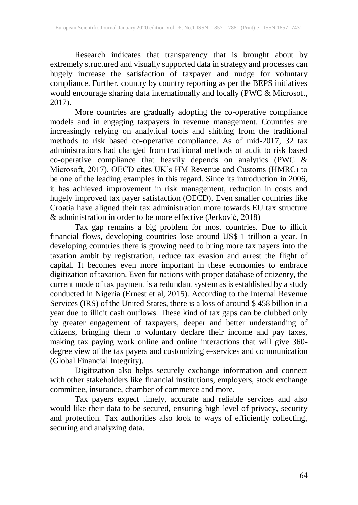Research indicates that transparency that is brought about by extremely structured and visually supported data in strategy and processes can hugely increase the satisfaction of taxpayer and nudge for voluntary compliance. Further, country by country reporting as per the BEPS initiatives would encourage sharing data internationally and locally (PWC & Microsoft, 2017).

More countries are gradually adopting the co-operative compliance models and in engaging taxpayers in revenue management. Countries are increasingly relying on analytical tools and shifting from the traditional methods to risk based co-operative compliance. As of mid-2017, 32 tax administrations had changed from traditional methods of audit to risk based co-operative compliance that heavily depends on analytics (PWC  $&$ Microsoft, 2017). OECD cites UK's HM Revenue and Customs (HMRC) to be one of the leading examples in this regard. Since its introduction in 2006, it has achieved improvement in risk management, reduction in costs and hugely improved tax payer satisfaction (OECD). Even smaller countries like Croatia have aligned their tax administration more towards EU tax structure & administration in order to be more effective (Jerković, 2018)

Tax gap remains a big problem for most countries. Due to illicit financial flows, developing countries lose around US\$ 1 trillion a year. In developing countries there is growing need to bring more tax payers into the taxation ambit by registration, reduce tax evasion and arrest the flight of capital. It becomes even more important in these economies to embrace digitization of taxation. Even for nations with proper database of citizenry, the current mode of tax payment is a redundant system as is established by a study conducted in Nigeria (Ernest et al, 2015). According to the Internal Revenue Services (IRS) of the United States, there is a loss of around \$ 458 billion in a year due to illicit cash outflows. These kind of tax gaps can be clubbed only by greater engagement of taxpayers, deeper and better understanding of citizens, bringing them to voluntary declare their income and pay taxes, making tax paying work online and online interactions that will give 360 degree view of the tax payers and customizing e-services and communication (Global Financial Integrity).

Digitization also helps securely exchange information and connect with other stakeholders like financial institutions, employers, stock exchange committee, insurance, chamber of commerce and more.

Tax payers expect timely, accurate and reliable services and also would like their data to be secured, ensuring high level of privacy, security and protection. Tax authorities also look to ways of efficiently collecting, securing and analyzing data.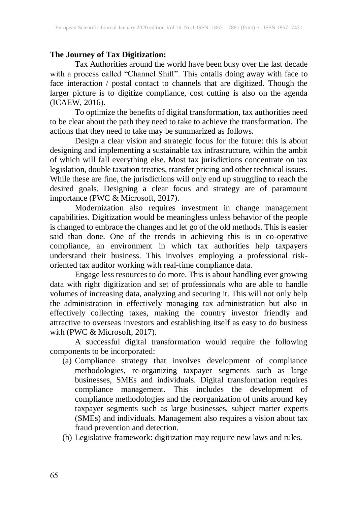#### **The Journey of Tax Digitization:**

Tax Authorities around the world have been busy over the last decade with a process called "Channel Shift". This entails doing away with face to face interaction / postal contact to channels that are digitized. Though the larger picture is to digitize compliance, cost cutting is also on the agenda (ICAEW, 2016).

To optimize the benefits of digital transformation, tax authorities need to be clear about the path they need to take to achieve the transformation. The actions that they need to take may be summarized as follows.

Design a clear vision and strategic focus for the future: this is about designing and implementing a sustainable tax infrastructure, within the ambit of which will fall everything else. Most tax jurisdictions concentrate on tax legislation, double taxation treaties, transfer pricing and other technical issues. While these are fine, the jurisdictions will only end up struggling to reach the desired goals. Designing a clear focus and strategy are of paramount importance (PWC & Microsoft, 2017).

Modernization also requires investment in change management capabilities. Digitization would be meaningless unless behavior of the people is changed to embrace the changes and let go of the old methods. This is easier said than done. One of the trends in achieving this is in co-operative compliance, an environment in which tax authorities help taxpayers understand their business. This involves employing a professional riskoriented tax auditor working with real-time compliance data.

Engage less resources to do more. This is about handling ever growing data with right digitization and set of professionals who are able to handle volumes of increasing data, analyzing and securing it. This will not only help the administration in effectively managing tax administration but also in effectively collecting taxes, making the country investor friendly and attractive to overseas investors and establishing itself as easy to do business with (PWC & Microsoft, 2017).

A successful digital transformation would require the following components to be incorporated:

- (a) Compliance strategy that involves development of compliance methodologies, re-organizing taxpayer segments such as large businesses, SMEs and individuals. Digital transformation requires compliance management. This includes the development of compliance methodologies and the reorganization of units around key taxpayer segments such as large businesses, subject matter experts (SMEs) and individuals. Management also requires a vision about tax fraud prevention and detection.
- (b) Legislative framework: digitization may require new laws and rules.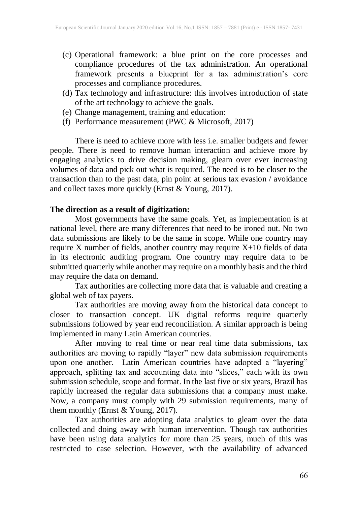- (c) Operational framework: a blue print on the core processes and compliance procedures of the tax administration. An operational framework presents a blueprint for a tax administration's core processes and compliance procedures.
- (d) Tax technology and infrastructure: this involves introduction of state of the art technology to achieve the goals.
- (e) Change management, training and education:
- (f) Performance measurement (PWC & Microsoft, 2017)

There is need to achieve more with less i.e. smaller budgets and fewer people. There is need to remove human interaction and achieve more by engaging analytics to drive decision making, gleam over ever increasing volumes of data and pick out what is required. The need is to be closer to the transaction than to the past data, pin point at serious tax evasion / avoidance and collect taxes more quickly (Ernst & Young, 2017).

# **The direction as a result of digitization:**

Most governments have the same goals. Yet, as implementation is at national level, there are many differences that need to be ironed out. No two data submissions are likely to be the same in scope. While one country may require X number of fields, another country may require X+10 fields of data in its electronic auditing program. One country may require data to be submitted quarterly while another may require on a monthly basis and the third may require the data on demand.

Tax authorities are collecting more data that is valuable and creating a global web of tax payers.

Tax authorities are moving away from the historical data concept to closer to transaction concept. UK digital reforms require quarterly submissions followed by year end reconciliation. A similar approach is being implemented in many Latin American countries.

After moving to real time or near real time data submissions, tax authorities are moving to rapidly "layer" new data submission requirements upon one another. Latin American countries have adopted a "layering" approach, splitting tax and accounting data into "slices," each with its own submission schedule, scope and format. In the last five or six years, Brazil has rapidly increased the regular data submissions that a company must make. Now, a company must comply with 29 submission requirements, many of them monthly (Ernst & Young, 2017).

Tax authorities are adopting data analytics to gleam over the data collected and doing away with human intervention. Though tax authorities have been using data analytics for more than 25 years, much of this was restricted to case selection. However, with the availability of advanced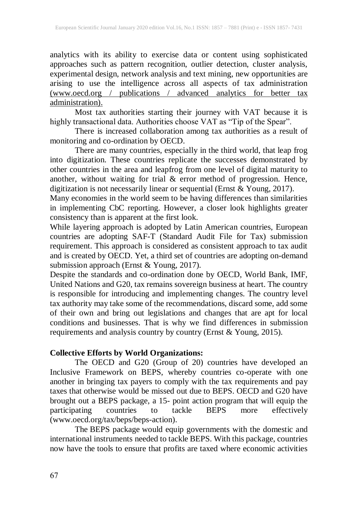analytics with its ability to exercise data or content using sophisticated approaches such as pattern recognition, outlier detection, cluster analysis, experimental design, network analysis and text mining, new opportunities are arising to use the intelligence across all aspects of tax administration (www.oecd.org / publications / advanced analytics for better tax administration).

Most tax authorities starting their journey with VAT because it is highly transactional data. Authorities choose VAT as "Tip of the Spear".

There is increased collaboration among tax authorities as a result of monitoring and co-ordination by OECD.

There are many countries, especially in the third world, that leap frog into digitization. These countries replicate the successes demonstrated by other countries in the area and leapfrog from one level of digital maturity to another, without waiting for trial & error method of progression. Hence, digitization is not necessarily linear or sequential (Ernst & Young, 2017).

Many economies in the world seem to be having differences than similarities in implementing CbC reporting. However, a closer look highlights greater consistency than is apparent at the first look.

While layering approach is adopted by Latin American countries, European countries are adopting SAF-T (Standard Audit File for Tax) submission requirement. This approach is considered as consistent approach to tax audit and is created by OECD. Yet, a third set of countries are adopting on-demand submission approach (Ernst & Young, 2017).

Despite the standards and co-ordination done by OECD, World Bank, IMF, United Nations and G20, tax remains sovereign business at heart. The country is responsible for introducing and implementing changes. The country level tax authority may take some of the recommendations, discard some, add some of their own and bring out legislations and changes that are apt for local conditions and businesses. That is why we find differences in submission requirements and analysis country by country (Ernst & Young, 2015).

#### **Collective Efforts by World Organizations:**

The OECD and G20 (Group of 20) countries have developed an Inclusive Framework on BEPS, whereby countries co-operate with one another in bringing tax payers to comply with the tax requirements and pay taxes that otherwise would be missed out due to BEPS. OECD and G20 have brought out a BEPS package, a 15- point action program that will equip the participating countries to tackle BEPS more effectively participating countries to tackle  $BEPS$  more [\(www.oecd.org/tax/beps/beps-action\)](http://www.oecd.org/tax/beps/beps-action).

The BEPS [package](http://www.oecd.org/tax/beps/beps-actions.htm) would equip governments with the domestic and international instruments needed to tackle BEPS. With this package, countries now have the tools to ensure that profits are taxed where economic activities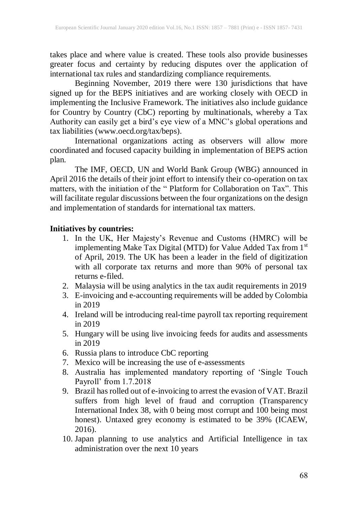takes place and where value is created. These tools also provide businesses greater focus and certainty by reducing disputes over the application of international tax rules and standardizing compliance requirements.

Beginning November, 2019 there were 130 jurisdictions that have signed up for the BEPS initiatives and are working closely with OECD in implementing the Inclusive Framework. The initiatives also include guidance for Country by Country (CbC) reporting by multinationals, whereby a Tax Authority can easily get a bird's eye view of a MNC's global operations and tax liabilities [\(www.oecd.org/tax/beps\)](http://www.oecd.org/tax/beps).

International organizations acting as observers will allow more coordinated and focused capacity building in implementation of BEPS action plan.

The IMF, OECD, UN and World Bank Group (WBG) announced in April 2016 the details of their joint effort to intensify their co-operation on tax matters, with the initiation of the " Platform for [Collaboration](http://www.oecd.org/tax/platform-for-collaboration-on-tax.htm) on Tax". This will facilitate regular discussions between the four organizations on the design and implementation of standards for international tax matters.

#### **Initiatives by countries:**

- 1. In the UK, Her Majesty's Revenue and Customs (HMRC) will be implementing Make Tax Digital (MTD) for Value Added Tax from 1st of April, 2019. The UK has been a leader in the field of digitization with all corporate tax returns and more than 90% of personal tax returns e-filed.
- 2. Malaysia will be using analytics in the tax audit requirements in 2019
- 3. E-invoicing and e-accounting requirements will be added by Colombia in 2019
- 4. Ireland will be introducing real-time payroll tax reporting requirement in 2019
- 5. Hungary will be using live invoicing feeds for audits and assessments in 2019
- 6. Russia plans to introduce CbC reporting
- 7. Mexico will be increasing the use of e-assessments
- 8. Australia has implemented mandatory reporting of 'Single Touch Payroll' from 1.7.2018
- 9. Brazil hasrolled out of e-invoicing to arrest the evasion of VAT. Brazil suffers from high level of fraud and corruption (Transparency International Index 38, with 0 being most corrupt and 100 being most honest). Untaxed grey economy is estimated to be 39% (ICAEW, 2016).
- 10. Japan planning to use analytics and Artificial Intelligence in tax administration over the next 10 years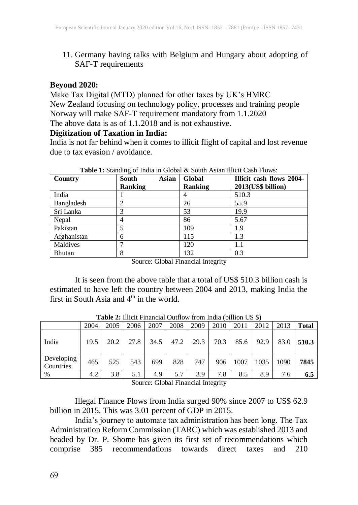11. Germany having talks with Belgium and Hungary about adopting of SAF-T requirements

#### **Beyond 2020:**

Make Tax Digital (MTD) planned for other taxes by UK's HMRC New Zealand focusing on technology policy, processes and training people Norway will make SAF-T requirement mandatory from 1.1.2020 The above data is as of 1.1.2018 and is not exhaustive.

#### **Digitization of Taxation in India:**

India is not far behind when it comes to illicit flight of capital and lost revenue due to tax evasion / avoidance.

| Country       | Asian<br><b>South</b> | <b>Global</b>  | Illicit cash flows 2004- |  |  |
|---------------|-----------------------|----------------|--------------------------|--|--|
|               | <b>Ranking</b>        | <b>Ranking</b> | 2013(US\$ billion)       |  |  |
| India         |                       |                | 510.3                    |  |  |
| Bangladesh    | ∍                     | 26             | 55.9                     |  |  |
| Sri Lanka     |                       | 53             | 19.9                     |  |  |
| Nepal         | 4                     | 86             | 5.67                     |  |  |
| Pakistan      |                       | 109            | 1.9                      |  |  |
| Afghanistan   | 6                     | 115            | 1.3                      |  |  |
| Maldives      |                       | 120            | 1.1                      |  |  |
| <b>Bhutan</b> | 8                     | 132            | 0.3                      |  |  |

**Table 1:** Standing of India in Global & South Asian Illicit Cash Flows:

Source: Global Financial Integrity

It is seen from the above table that a total of US\$ 510.3 billion cash is estimated to have left the country between 2004 and 2013, making India the first in South Asia and  $4<sup>th</sup>$  in the world.

|                         | 2004 | 2005 | 2006 | 2007 | 2008 | 2009 | 2010 | 2011 | 2012 | 2013 | <b>Total</b> |
|-------------------------|------|------|------|------|------|------|------|------|------|------|--------------|
| India                   | 19.5 | 20.2 | 27.8 | 34.5 | 47.2 | 29.3 | 70.3 | 85.6 | 92.9 | 83.0 | 510.3        |
| Developing<br>Countries | 465  | 525  | 543  | 699  | 828  | 747  | 906  | 1007 | 1035 | 1090 | 7845         |
| $\%$                    | 4.2  | 3.8  | 5.1  | 4.9  | 5.7  | 3.9  | 7.8  | 8.5  | 8.9  | 7.6  | 6.5          |

**Table 2:** Illicit Financial Outflow from India (billion US \$)

Source: Global Financial Integrity

Illegal Finance Flows from India surged 90% since 2007 to US\$ 62.9 billion in 2015. This was 3.01 percent of GDP in 2015.

India's journey to automate tax administration has been long. The Tax Administration Reform Commission (TARC) which was established 2013 and headed by Dr. P. Shome has given its first set of recommendations which comprise 385 recommendations towards direct taxes and 210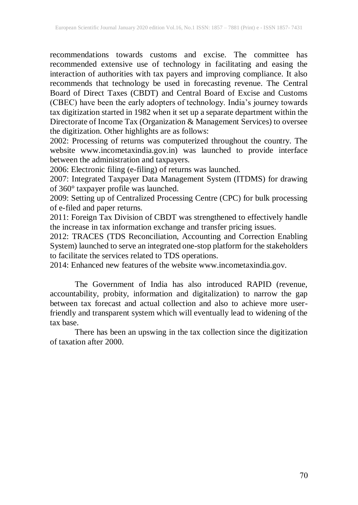recommendations towards customs and excise. The committee has recommended extensive use of technology in facilitating and easing the interaction of authorities with tax payers and improving compliance. It also recommends that technology be used in forecasting revenue. The Central Board of Direct Taxes (CBDT) and Central Board of Excise and Customs (CBEC) have been the early adopters of technology. India's journey towards tax digitization started in 1982 when it set up a separate department within the Directorate of Income Tax (Organization & Management Services) to oversee the digitization. Other highlights are as follows:

2002: Processing of returns was computerized throughout the country. The website [www.incometaxindia.gov.in\)](http://www.incometaxindia.gov.in)/) was launched to provide interface between the administration and taxpayers.

2006: Electronic filing (e-filing) of returns was launched.

2007: Integrated Taxpayer Data Management System (ITDMS) for drawing of 360° taxpayer profile was launched.

2009: Setting up of Centralized Processing Centre (CPC) for bulk processing of e-filed and paper returns.

2011: Foreign Tax Division of CBDT was strengthened to effectively handle the increase in tax information exchange and transfer pricing issues.

2012: TRACES (TDS Reconciliation, Accounting and Correction Enabling System) launched to serve an integrated one-stop platform for the stakeholders to facilitate the services related to TDS operations.

2014: Enhanced new features of the website www.incometaxindia.gov.

The Government of India has also introduced RAPID (revenue, accountability, probity, information and digitalization) to narrow the gap between tax forecast and actual collection and also to achieve more userfriendly and transparent system which will eventually lead to widening of the tax base.

There has been an upswing in the tax collection since the digitization of taxation after 2000.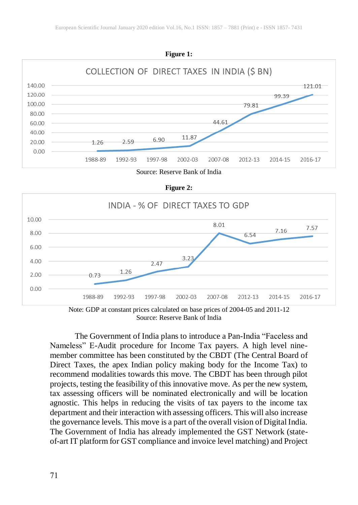





Note: GDP at constant prices calculated on base prices of 2004-05 and 2011-12 Source: Reserve Bank of India

The Government of India plans to introduce a Pan-India "Faceless and Nameless" E-Audit procedure for Income Tax payers. A high level ninemember committee has been constituted by the CBDT (The Central Board of Direct Taxes, the apex Indian policy making body for the Income Tax) to recommend modalities towards this move. The CBDT has been through pilot projects, testing the feasibility of this innovative move. As per the new system, tax assessing officers will be nominated electronically and will be location agnostic. This helps in reducing the visits of tax payers to the income tax department and their interaction with assessing officers. This will also increase the governance levels. This move is a part of the overall vision of Digital India. The Government of India has already implemented the GST Network (stateof-art IT platform for GST compliance and invoice level matching) and Project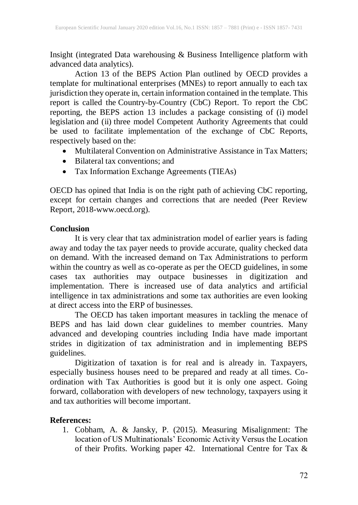Insight (integrated Data warehousing & Business Intelligence platform with advanced data analytics).

Action 13 of the BEPS Action Plan outlined by OECD provides a template for multinational enterprises (MNEs) to report annually to each tax jurisdiction they operate in, certain information contained in the template. This report is called the Country-by-Country (CbC) Report. To report the CbC reporting, the BEPS action 13 includes a package consisting of (i) model legislation and (ii) three model Competent Authority Agreements that could be used to facilitate implementation of the exchange of CbC Reports, respectively based on the:

- Multilateral Convention on Administrative Assistance in Tax Matters;
- Bilateral tax conventions: and
- Tax Information Exchange Agreements (TIEAs)

OECD has opined that India is on the right path of achieving CbC reporting, except for certain changes and corrections that are needed (Peer Review Report, 2018-www.oecd.org).

# **Conclusion**

It is very clear that tax administration model of earlier years is fading away and today the tax payer needs to provide accurate, quality checked data on demand. With the increased demand on Tax Administrations to perform within the country as well as co-operate as per the OECD guidelines, in some cases tax authorities may outpace businesses in digitization and implementation. There is increased use of data analytics and artificial intelligence in tax administrations and some tax authorities are even looking at direct access into the ERP of businesses.

The OECD has taken important measures in tackling the menace of BEPS and has laid down clear guidelines to member countries. Many advanced and developing countries including India have made important strides in digitization of tax administration and in implementing BEPS guidelines.

Digitization of taxation is for real and is already in. Taxpayers, especially business houses need to be prepared and ready at all times. Coordination with Tax Authorities is good but it is only one aspect. Going forward, collaboration with developers of new technology, taxpayers using it and tax authorities will become important.

# **References:**

1. Cobham, A. & Jansky, P. (2015). Measuring Misalignment: The location of US Multinationals' Economic Activity Versus the Location of their Profits. Working paper 42. International Centre for Tax &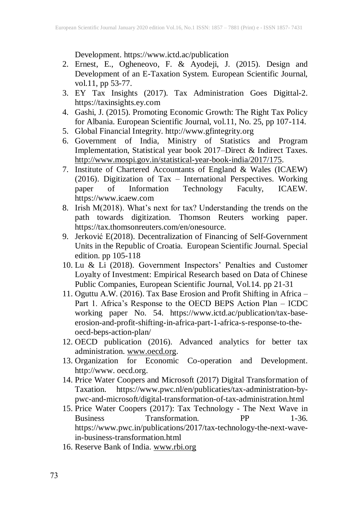Development. https://www.ictd.ac/publication

- 2. Ernest, E., Ogheneovo, F. & Ayodeji, J. (2015). Design and Development of an E-Taxation System. European Scientific Journal, vol.11, pp 53-77.
- 3. EY Tax Insights (2017). Tax Administration Goes Digittal-2. https://taxinsights.ey.com
- 4. Gashi, J. (2015). Promoting Economic Growth: The Right Tax Policy for Albania. European Scientific Journal, vol.11, No. 25, pp 107-114.
- 5. Global Financial Integrity. http://www.gfintegrity.org
- 6. Government of India, Ministry of Statistics and Program Implementation, Statistical year book 2017–Direct & Indirect Taxes. [http://www.mospi.gov.in/statistical-year-book-india/2017/175.](http://www.mospi.gov.in/statistical-year-book-india/2017/175)
- 7. Institute of Chartered Accountants of England & Wales (ICAEW) (2016). Digitization of Tax – International Perspectives. Working paper of Information Technology Faculty, ICAEW. https://www.icaew.com
- 8. Irish M(2018). What's next for tax? Understanding the trends on the path towards digitization. Thomson Reuters working paper. https://tax.thomsonreuters.com/en/onesource.
- 9. Jerković E(2018). Decentralization of Financing of Self-Government Units in the Republic of Croatia. European Scientific Journal. Special edition. pp 105-118
- 10. Lu & Li (2018). Government Inspectors' Penalties and Customer Loyalty of Investment: Empirical Research based on Data of Chinese Public Companies, European Scientific Journal, Vol.14. pp 21-31
- 11. Oguttu A.W. (2016). Tax Base Erosion and Profit Shifting in Africa Part 1. Africa's Response to the OECD BEPS Action Plan – ICDC working paper No. 54. https://www.ictd.ac/publication/tax-baseerosion-and-profit-shifting-in-africa-part-1-africa-s-response-to-theoecd-beps-action-plan/
- 12. OECD publication (2016). Advanced analytics for better tax administration. [www.oecd.org.](http://www.oecd.org/)
- 13. Organization for Economic Co-operation and Development. http://www. oecd.org.
- 14. Price Water Coopers and Microsoft (2017) Digital Transformation of Taxation. https://www.pwc.nl/en/publicaties/tax-administration-bypwc-and-microsoft/digital-transformation-of-tax-administration.html
- 15. Price Water Coopers (2017): Tax Technology The Next Wave in Business Transformation. PP 1-36. https://www.pwc.in/publications/2017/tax-technology-the-next-wavein-business-transformation.html
- 16. Reserve Bank of India. [www.rbi.org](http://www.rbi.org/)